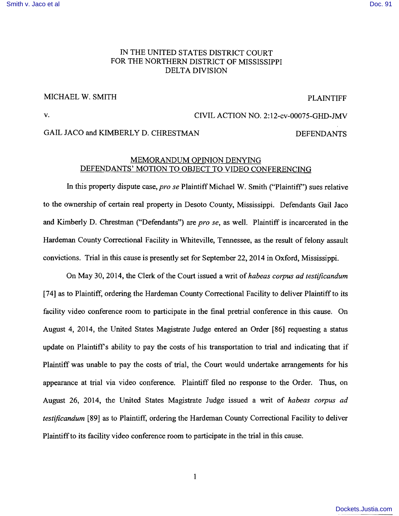### [Smith v. Jaco et al](http://dockets.justia.com/docket/mississippi/msndce/2:2012cv00075/33158/) [Doc. 91](http://docs.justia.com/cases/federal/district-courts/mississippi/msndce/2:2012cv00075/33158/91/)

# IN THE UNITED STATES DISTRICT COURT FOR THE NORTHERN DISTRICT OF MISSISSIPPI DELTA DIVISION

### MICHAEL W. SMITH PLAINTIFF

# v. CIVIL ACTION NO. 2:12-cv-00075-GHD-JMV

## GAIL JACO and KIMBERLY D. CHRESTMAN DEFENDANTS

### MEMORANDUM OPINION DENYING DEFENDANTS' MOTION TO OBJECT TO VIDEO CONFERENCING

In this property dispute case, *pro se* Plaintiff Michael W. Smith ("Plaintiff') sues relative to the ownership of certain real property in Desoto County, Mississippi. Defendants Gail Jaco and Kimberly D. Chrestman ("Defendants") are *pro se,* as well. Plaintiff is incarcerated in the Hardeman County Correctional Facility in Whiteville, Tennessee, as the result of felony assault convictions. Trial in this cause is presently set for September 22, **2014** in Oxford, Mississippi.

On May 30, 2014, the Clerk of the Court issued a writ of*habeas corpus ad testificandum*  [74] as to Plaintiff, ordering the Hardeman County Correctional Facility to deliver Plaintiff to its facility video conference room to participate in the final pretrial conference in this cause. On August 4, 2014, the United States Magistrate Judge entered an Order [86] requesting a status update on Plaintiff's ability to pay the costs of his transportation to trial and indicating that if Plaintiff was unable to pay the costs of trial, the Court would undertake arrangements for his appearance at trial via video conference. Plaintiff filed no response to the Order. Thus, on August 26, 2014, the United States Magistrate Judge issued a writ of *habeas corpus ad testificandum* [89] as to Plaintiff, ordering the Hardeman County Correctional Facility to deliver Plaintiffto its facility video conference room to participate in the trial in this cause.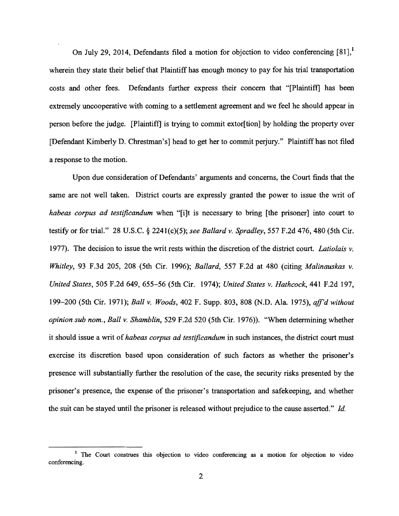On July 29, 2014, Defendants filed a motion for objection to video conferencing  $[81]$ , wherein they state their belief that Plaintiff has enough money to pay for his trial transportation costs and other fees. Defendants further express their concern that "[Plaintiff] has been extremely uncooperative with coming to a settlement agreement and we feel he should appear in person before the judge. [Plaintiff] is trying to commit extor[tion] by holding the property over [Defendant Kimberly D. Chrestman's] head to get her to commit perjury." Plaintiff has not filed a response to the motion.

Upon due consideration of Defendants' arguments and concerns, the Court finds that the same are not well taken. District courts are expressly granted the power to issue the writ of *habeas corpus ad testificandum* when "[i]t is necessary to bring [the prisoner] into court to testify or for trial." 28 U.S.C. § 2241(c)(5); *see Ballard* v. *Spradley,* 557 F.2d 476, 480 (5th Cir. 1977). The decision to issue the writ rests within the discretion of the district court. *Latiolais* v. *Whitley,* 93 F.3d 205, 208 (5th Cir. 1996); *Ballard,* 557 F.2d at 480 (citing *Malinauskas* v. *United States,* 505 F.2d 649,655-56 (5th Cir. 1974); *United States* v. *Hathcock,* 441 F.2d 197, 199-200 (5th Cir. 1971); *Ball* v. *Woods,* 402 F. Supp. 803, 808 (N.D. Ala. 1975), *ajJ'd without opinion sub nom., Ball* v. *Shamblin,* 529 F.2d 520 (5th Cir. 1976)). "When determining whether it should issue a writ of*habeas corpus ad testificandum* in such instances, the district court must exercise its discretion based upon consideration of such factors as whether the prisoner's presence will substantially further the resolution of the case, the security risks presented by the prisoner's presence, the expense of the prisoner's transportation and safekeeping, and whether the suit can be stayed until the prisoner is released without prejudice to the cause asserted." *Id.* 

<sup>&</sup>lt;sup>1</sup> The Court construes this objection to video conferencing as a motion for objection to video conferencing.